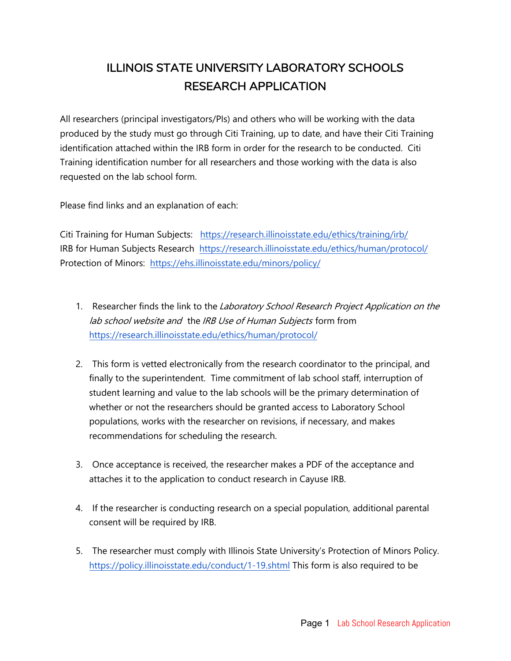# ILLINOIS STATE UNIVERSITY LABORATORY SCHOOLS RESEARCH APPLICATION

All researchers (principal investigators/PIs) and others who will be working with the data produced by the study must go through Citi Training, up to date, and have their Citi Training identification attached within the IRB form in order for the research to be conducted. Citi Training identification number for all researchers and those working with the data is also requested on the lab school form.

Please find links and an explanation of each:

Citi Training for Human Subjects: https://research.illinoisstate.edu/ethics/training/irb/ IRB for Human Subjects Research https://research.illinoisstate.edu/ethics/human/protocol/ Protection of Minors: https://ehs.illinoisstate.edu/minors/policy/

- 1. Researcher finds the link to the Laboratory School Research Project Application on the lab school website and the IRB Use of Human Subjects form from https://research.illinoisstate.edu/ethics/human/protocol/
- 2. This form is vetted electronically from the research coordinator to the principal, and finally to the superintendent. Time commitment of lab school staff, interruption of student learning and value to the lab schools will be the primary determination of whether or not the researchers should be granted access to Laboratory School populations, works with the researcher on revisions, if necessary, and makes recommendations for scheduling the research.
- 3. Once acceptance is received, the researcher makes a PDF of the acceptance and attaches it to the application to conduct research in Cayuse IRB.
- 4. If the researcher is conducting research on a special population, additional parental consent will be required by IRB.
- 5. The researcher must comply with Illinois State University's Protection of Minors Policy. https://policy.illinoisstate.edu/conduct/1-19.shtml This form is also required to be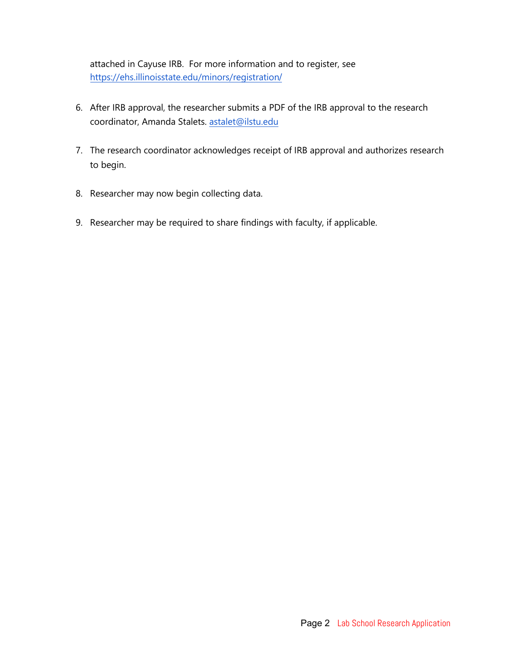attached in Cayuse IRB. For more information and to register, see https://ehs.illinoisstate.edu/minors/registration/

- 6. After IRB approval, the researcher submits a PDF of the IRB approval to the research coordinator, Amanda Stalets. astalet@ilstu.edu
- 7. The research coordinator acknowledges receipt of IRB approval and authorizes research to begin.
- 8. Researcher may now begin collecting data.
- 9. Researcher may be required to share findings with faculty, if applicable.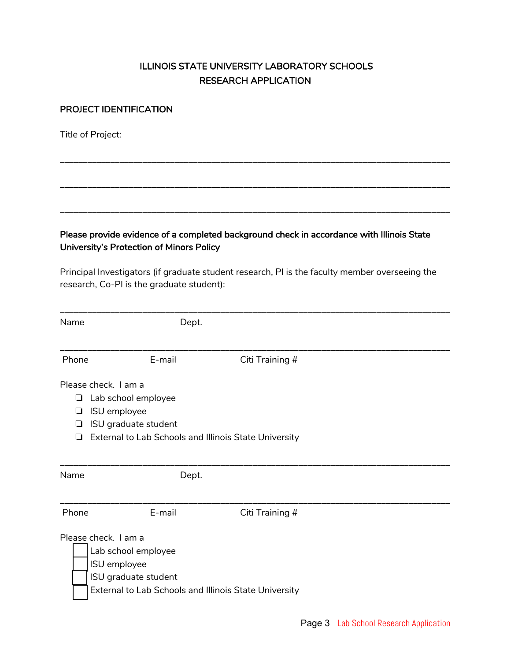## ILLINOIS STATE UNIVERSITY LABORATORY SCHOOLS RESEARCH APPLICATION

\_\_\_\_\_\_\_\_\_\_\_\_\_\_\_\_\_\_\_\_\_\_\_\_\_\_\_\_\_\_\_\_\_\_\_\_\_\_\_\_\_\_\_\_\_\_\_\_\_\_\_\_\_\_\_\_\_\_\_\_\_\_\_\_\_\_\_\_\_\_\_\_\_\_\_\_\_\_\_\_\_\_\_\_\_

\_\_\_\_\_\_\_\_\_\_\_\_\_\_\_\_\_\_\_\_\_\_\_\_\_\_\_\_\_\_\_\_\_\_\_\_\_\_\_\_\_\_\_\_\_\_\_\_\_\_\_\_\_\_\_\_\_\_\_\_\_\_\_\_\_\_\_\_\_\_\_\_\_\_\_\_\_\_\_\_\_\_\_\_\_

\_\_\_\_\_\_\_\_\_\_\_\_\_\_\_\_\_\_\_\_\_\_\_\_\_\_\_\_\_\_\_\_\_\_\_\_\_\_\_\_\_\_\_\_\_\_\_\_\_\_\_\_\_\_\_\_\_\_\_\_\_\_\_\_\_\_\_\_\_\_\_\_\_\_\_\_\_\_\_\_\_\_\_\_\_

#### PROJECT IDENTIFICATION

Title of Project:

Please provide evidence of a completed background check in accordance with Illinois State University's Protection of Minors Policy

Principal Investigators (if graduate student research, PI is the faculty member overseeing the research, Co-PI is the graduate student):

| Name   |                                                                                     | Dept.                                                 |  |
|--------|-------------------------------------------------------------------------------------|-------------------------------------------------------|--|
| Phone  | E-mail                                                                              | Citi Training #                                       |  |
| ⊔<br>⊔ | Please check. I am a<br>Lab school employee<br>ISU employee<br>ISU graduate student | External to Lab Schools and Illinois State University |  |
| Name   |                                                                                     | Dept.                                                 |  |
| Phone  | E-mail                                                                              | Citi Training #                                       |  |
|        | Please check. I am a<br>Lab school employee<br>ISU employee<br>ISU graduate student | External to Lab Schools and Illinois State University |  |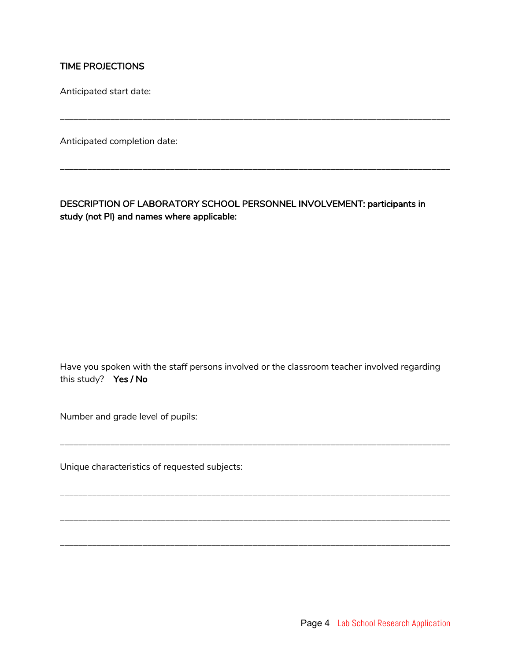### TIME PROJECTIONS

Anticipated start date:

Anticipated completion date:

DESCRIPTION OF LABORATORY SCHOOL PERSONNEL INVOLVEMENT: participants in study (not PI) and names where applicable:

\_\_\_\_\_\_\_\_\_\_\_\_\_\_\_\_\_\_\_\_\_\_\_\_\_\_\_\_\_\_\_\_\_\_\_\_\_\_\_\_\_\_\_\_\_\_\_\_\_\_\_\_\_\_\_\_\_\_\_\_\_\_\_\_\_\_\_\_\_\_\_\_\_\_\_\_\_\_\_\_\_\_\_\_\_

\_\_\_\_\_\_\_\_\_\_\_\_\_\_\_\_\_\_\_\_\_\_\_\_\_\_\_\_\_\_\_\_\_\_\_\_\_\_\_\_\_\_\_\_\_\_\_\_\_\_\_\_\_\_\_\_\_\_\_\_\_\_\_\_\_\_\_\_\_\_\_\_\_\_\_\_\_\_\_\_\_\_\_\_\_

Have you spoken with the staff persons involved or the classroom teacher involved regarding this study? Yes / No

\_\_\_\_\_\_\_\_\_\_\_\_\_\_\_\_\_\_\_\_\_\_\_\_\_\_\_\_\_\_\_\_\_\_\_\_\_\_\_\_\_\_\_\_\_\_\_\_\_\_\_\_\_\_\_\_\_\_\_\_\_\_\_\_\_\_\_\_\_\_\_\_\_\_\_\_\_\_\_\_\_\_\_\_\_

\_\_\_\_\_\_\_\_\_\_\_\_\_\_\_\_\_\_\_\_\_\_\_\_\_\_\_\_\_\_\_\_\_\_\_\_\_\_\_\_\_\_\_\_\_\_\_\_\_\_\_\_\_\_\_\_\_\_\_\_\_\_\_\_\_\_\_\_\_\_\_\_\_\_\_\_\_\_\_\_\_\_\_\_\_

\_\_\_\_\_\_\_\_\_\_\_\_\_\_\_\_\_\_\_\_\_\_\_\_\_\_\_\_\_\_\_\_\_\_\_\_\_\_\_\_\_\_\_\_\_\_\_\_\_\_\_\_\_\_\_\_\_\_\_\_\_\_\_\_\_\_\_\_\_\_\_\_\_\_\_\_\_\_\_\_\_\_\_\_\_

\_\_\_\_\_\_\_\_\_\_\_\_\_\_\_\_\_\_\_\_\_\_\_\_\_\_\_\_\_\_\_\_\_\_\_\_\_\_\_\_\_\_\_\_\_\_\_\_\_\_\_\_\_\_\_\_\_\_\_\_\_\_\_\_\_\_\_\_\_\_\_\_\_\_\_\_\_\_\_\_\_\_\_\_\_

Number and grade level of pupils:

Unique characteristics of requested subjects: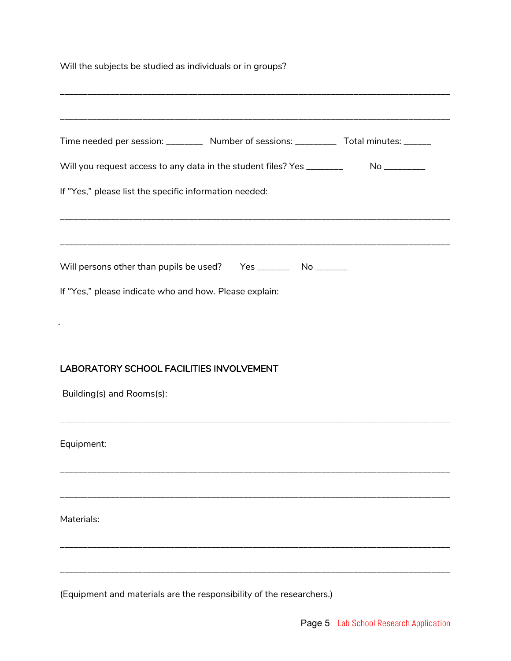| Will the subjects be studied as individuals or in groups? |  |  |
|-----------------------------------------------------------|--|--|
|                                                           |  |  |

| Time needed per session: __________ Number of sessions: __________ Total minutes: ______ |  |
|------------------------------------------------------------------------------------------|--|
| Will you request access to any data in the student files? Yes _________ No _________     |  |
| If "Yes," please list the specific information needed:                                   |  |
| Will persons other than pupils be used? Yes __________ No _______                        |  |
| If "Yes," please indicate who and how. Please explain:                                   |  |
|                                                                                          |  |
| <b>LABORATORY SCHOOL FACILITIES INVOLVEMENT</b>                                          |  |
| Building(s) and Rooms(s):                                                                |  |
| Equipment:                                                                               |  |
|                                                                                          |  |
| Materials:                                                                               |  |
|                                                                                          |  |
| (Equipment and materials are the responsibility of the researchers.)                     |  |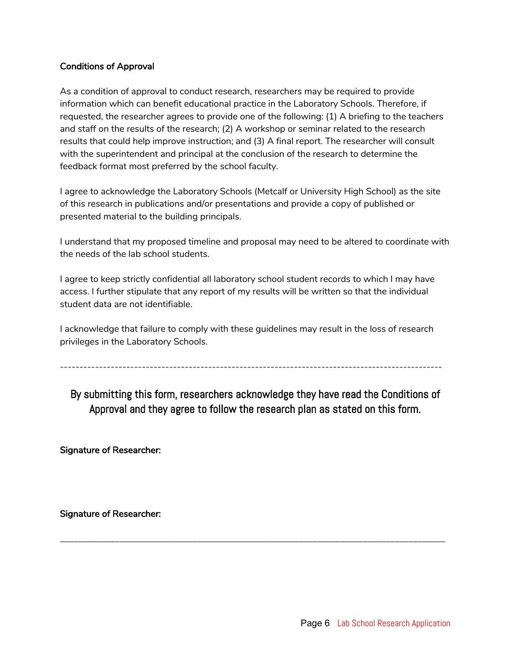#### Conditions of Approval

As a condition of approval to conduct research, researchers may be required to provide information which can benefit educational practice in the Laboratory Schools. Therefore, if requested, the researcher agrees to provide one of the following: (1) A briefing to the teachers and staff on the results of the research; (2) A workshop or seminar related to the research results that could help improve instruction; and (3) A final report. The researcher will consult with the superintendent and principal at the conclusion of the research to determine the feedback format most preferred by the school faculty.

I agree to acknowledge the Laboratory Schools (Metcalf or University High School) as the site of this research in publications and/or presentations and provide a copy of published or presented material to the building principals.

I understand that my proposed timeline and proposal may need to be altered to coordinate with the needs of the lab school students.

I agree to keep strictly confidential all laboratory school student records to which I may have access. I further stipulate that any report of my results will be written so that the individual student data are not identifiable.

I acknowledge that failure to comply with these guidelines may result in the loss of research privileges in the Laboratory Schools.

--------------------------------------------------------------------------------------------------

By submitting this form, researchers acknowledge they have read the Conditions of Approval and they agree to follow the research plan as stated on this form.

\_\_\_\_\_\_\_\_\_\_\_\_\_\_\_\_\_\_\_\_\_\_\_\_\_\_\_\_\_\_\_\_\_\_\_\_\_\_\_\_\_\_\_\_\_\_\_\_\_\_\_\_\_\_\_\_\_\_\_\_\_\_\_\_\_\_\_\_\_\_\_\_\_\_\_\_\_\_\_\_\_\_\_\_

Signature of Researcher:

Signature of Researcher: